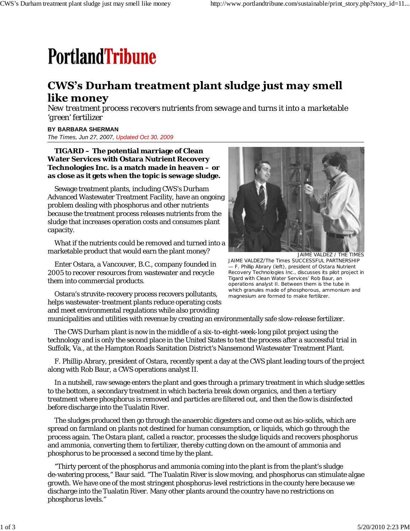# **PortlandTribune**

## CWS's Durham treatment plant sludge just may smell like money

*New treatment process recovers nutrients from sewage and turns it into a marketable 'green' fertilizer*

#### **BY BARBARA SHERMAN**

*The Times, Jun 27, 2007, Updated Oct 30, 2009*

#### **TIGARD – The potential marriage of Clean Water Services with Ostara Nutrient Recovery Technologies Inc. is a match made in heaven – or as close as it gets when the topic is sewage sludge.**

Sewage treatment plants, including CWS's Durham Advanced Wastewater Treatment Facility, have an ongoing problem dealing with phosphorus and other nutrients because the treatment process releases nutrients from the sludge that increases operation costs and consumes plant capacity.

What if the nutrients could be removed and turned into a marketable product that would earn the plant money?

Enter Ostara, a Vancouver, B.C., company founded in 2005 to recover resources from wastewater and recycle them into commercial products.



JAIME VALDEZ / THE TIMES JAIME VALDEZ/The Times SUCCESSFUL PARTNERSHIP — F. Phillip Abrary (left), president of Ostara Nutrient Recovery Technologies Inc., discusses its pilot project in Tigard with Clean Water Services' Rob Baur, an operations analyst II. Between them is the tube in which granules made of phosphorous, ammonium and magnesium are formed to make fertilizer.

Ostara's struvite-recovery process recovers pollutants, helps wastewater-treatment plants reduce operating costs and meet environmental regulations while also providing

municipalities and utilities with revenue by creating an environmentally safe slow-release fertilizer.

The CWS Durham plant is now in the middle of a six-to-eight-week-long pilot project using the technology and is only the second place in the United States to test the process after a successful trial in Suffolk, Va., at the Hampton Roads Sanitation District's Nansemond Wastewater Treatment Plant.

F. Phillip Abrary, president of Ostara, recently spent a day at the CWS plant leading tours of the project along with Rob Baur, a CWS operations analyst II.

In a nutshell, raw sewage enters the plant and goes through a primary treatment in which sludge settles to the bottom, a secondary treatment in which bacteria break down organics, and then a tertiary treatment where phosphorus is removed and particles are filtered out, and then the flow is disinfected before discharge into the Tualatin River.

The sludges produced then go through the anaerobic digesters and come out as bio-solids, which are spread on farmland on plants not destined for human consumption, or liquids, which go through the process again. The Ostara plant, called a reactor, processes the sludge liquids and recovers phosphorus and ammonia, converting them to fertilizer, thereby cutting down on the amount of ammonia and phosphorus to be processed a second time by the plant.

"Thirty percent of the phosphorus and ammonia coming into the plant is from the plant's sludge de-watering process," Baur said. "The Tualatin River is slow moving, and phosphorus can stimulate algae growth. We have one of the most stringent phosphorus-level restrictions in the county here because we discharge into the Tualatin River. Many other plants around the country have no restrictions on phosphorus levels."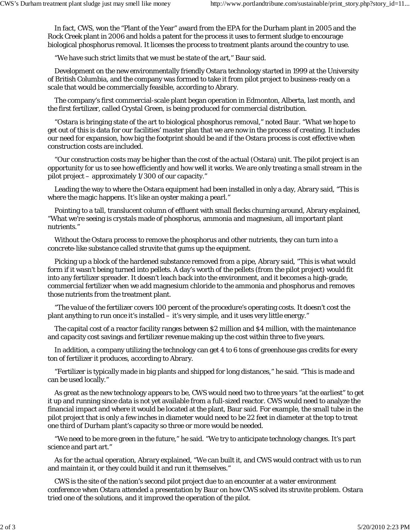In fact, CWS, won the "Plant of the Year" award from the EPA for the Durham plant in 2005 and the Rock Creek plant in 2006 and holds a patent for the process it uses to ferment sludge to encourage biological phosphorus removal. It licenses the process to treatment plants around the country to use.

"We have such strict limits that we must be state of the art," Baur said.

Development on the new environmentally friendly Ostara technology started in 1999 at the University of British Columbia, and the company was formed to take it from pilot project to business-ready on a scale that would be commercially feasible, according to Abrary.

The company's first commercial-scale plant began operation in Edmonton, Alberta, last month, and the first fertilizer, called Crystal Green, is being produced for commercial distribution.

"Ostara is bringing state of the art to biological phosphorus removal," noted Baur. "What we hope to get out of this is data for our facilities' master plan that we are now in the process of creating. It includes our need for expansion, how big the footprint should be and if the Ostara process is cost effective when construction costs are included.

"Our construction costs may be higher than the cost of the actual (Ostara) unit. The pilot project is an opportunity for us to see how efficiently and how well it works. We are only treating a small stream in the pilot project – approximately 1/300 of our capacity."

Leading the way to where the Ostara equipment had been installed in only a day, Abrary said, "This is where the magic happens. It's like an oyster making a pearl."

Pointing to a tall, translucent column of effluent with small flecks churning around, Abrary explained, "What we're seeing is crystals made of phosphorus, ammonia and magnesium, all important plant nutrients."

Without the Ostara process to remove the phosphorus and other nutrients, they can turn into a concrete-like substance called struvite that gums up the equipment.

Picking up a block of the hardened substance removed from a pipe, Abrary said, "This is what would form if it wasn't being turned into pellets. A day's worth of the pellets (from the pilot project) would fit into any fertilizer spreader. It doesn't leach back into the environment, and it becomes a high-grade, commercial fertilizer when we add magnesium chloride to the ammonia and phosphorus and removes those nutrients from the treatment plant.

"The value of the fertilizer covers 100 percent of the procedure's operating costs. It doesn't cost the plant anything to run once it's installed – it's very simple, and it uses very little energy."

The capital cost of a reactor facility ranges between \$2 million and \$4 million, with the maintenance and capacity cost savings and fertilizer revenue making up the cost within three to five years.

In addition, a company utilizing the technology can get 4 to 6 tons of greenhouse gas credits for every ton of fertilizer it produces, according to Abrary.

"Fertilizer is typically made in big plants and shipped for long distances," he said. "This is made and can be used locally."

As great as the new technology appears to be, CWS would need two to three years "at the earliest" to get it up and running since data is not yet available from a full-sized reactor. CWS would need to analyze the financial impact and where it would be located at the plant, Baur said. For example, the small tube in the pilot project that is only a few inches in diameter would need to be 22 feet in diameter at the top to treat one third of Durham plant's capacity so three or more would be needed.

"We need to be more green in the future," he said. "We try to anticipate technology changes. It's part science and part art."

As for the actual operation, Abrary explained, "We can built it, and CWS would contract with us to run and maintain it, or they could build it and run it themselves."

CWS is the site of the nation's second pilot project due to an encounter at a water environment conference when Ostara attended a presentation by Baur on how CWS solved its struvite problem. Ostara tried one of the solutions, and it improved the operation of the pilot.